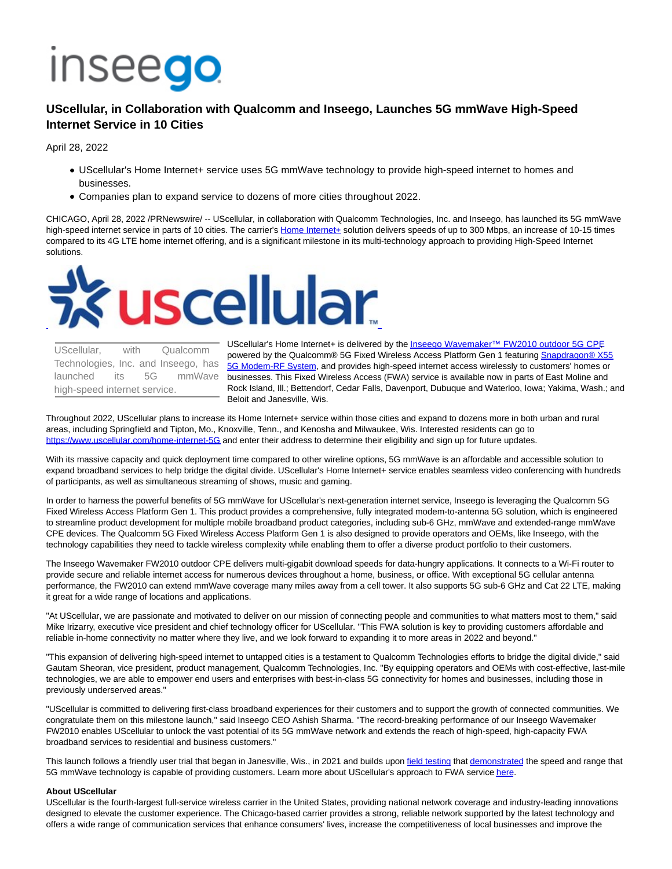# **Inseego**

# **UScellular, in Collaboration with Qualcomm and Inseego, Launches 5G mmWave High-Speed Internet Service in 10 Cities**

April 28, 2022

- UScellular's Home Internet+ service uses 5G mmWave technology to provide high-speed internet to homes and businesses.
- Companies plan to expand service to dozens of more cities throughout 2022.

CHICAGO, April 28, 2022 /PRNewswire/ -- UScellular, in collaboration with Qualcomm Technologies, Inc. and Inseego, has launched its 5G mmWave high-speed internet service in parts of 10 cities. The carrier's [Home Internet+ s](https://c212.net/c/link/?t=0&l=en&o=3519665-1&h=4106125736&u=https%3A%2F%2Fwww.uscellular.com%2Fhome-internet-5G&a=Home+Internet%2B)olution delivers speeds of up to 300 Mbps, an increase of 10-15 times compared to its 4G LTE home internet offering, and is a significant milestone in its multi-technology approach to providing High-Speed Internet solutions.



UScellular, with Qualcomm Technologies, Inc. and Inseego, has launched its 5G mmWave high-speed internet service.

UScellular's Home Internet+ is delivered by the Inseego Wavemaker™ FW2010 outdoor 5G CPF powered by the Qualcomm® 5G Fixed Wireless Access Platform Gen 1 featurin[g Snapdragon® X55](https://c212.net/c/link/?t=0&l=en&o=3519665-1&h=1760969028&u=https%3A%2F%2Fwww.qualcomm.com%2Fproducts%2Ftechnology%2Fmodems%2Fsnapdragon-x55-5g-modem&a=Snapdragon%C2%AE+X55+5G+Modem-RF+System) 5G Modem-RF System, and provides high-speed internet access wirelessly to customers' homes or businesses. This Fixed Wireless Access (FWA) service is available now in parts of East Moline and Rock Island, Ill.; Bettendorf, Cedar Falls, Davenport, Dubuque and Waterloo, Iowa; Yakima, Wash.; and Beloit and Janesville, Wis.

Throughout 2022, UScellular plans to increase its Home Internet+ service within those cities and expand to dozens more in both urban and rural areas, including Springfield and Tipton, Mo., Knoxville, Tenn., and Kenosha and Milwaukee, Wis. Interested residents can go to [https://www.uscellular.com/home-internet-5G a](https://c212.net/c/link/?t=0&l=en&o=3519665-1&h=1076671072&u=https%3A%2F%2Fwww.uscellular.com%2Fhome-internet-5G&a=https%3A%2F%2Fwww.uscellular.com%2Fhome-internet-5G)nd enter their address to determine their eligibility and sign up for future updates.

With its massive capacity and quick deployment time compared to other wireline options, 5G mmWave is an affordable and accessible solution to expand broadband services to help bridge the digital divide. UScellular's Home Internet+ service enables seamless video conferencing with hundreds of participants, as well as simultaneous streaming of shows, music and gaming.

In order to harness the powerful benefits of 5G mmWave for UScellular's next-generation internet service, Inseego is leveraging the Qualcomm 5G Fixed Wireless Access Platform Gen 1. This product provides a comprehensive, fully integrated modem-to-antenna 5G solution, which is engineered to streamline product development for multiple mobile broadband product categories, including sub-6 GHz, mmWave and extended-range mmWave CPE devices. The Qualcomm 5G Fixed Wireless Access Platform Gen 1 is also designed to provide operators and OEMs, like Inseego, with the technology capabilities they need to tackle wireless complexity while enabling them to offer a diverse product portfolio to their customers.

The Inseego Wavemaker FW2010 outdoor CPE delivers multi-gigabit download speeds for data-hungry applications. It connects to a Wi-Fi router to provide secure and reliable internet access for numerous devices throughout a home, business, or office. With exceptional 5G cellular antenna performance, the FW2010 can extend mmWave coverage many miles away from a cell tower. It also supports 5G sub-6 GHz and Cat 22 LTE, making it great for a wide range of locations and applications.

"At UScellular, we are passionate and motivated to deliver on our mission of connecting people and communities to what matters most to them," said Mike Irizarry, executive vice president and chief technology officer for UScellular. "This FWA solution is key to providing customers affordable and reliable in-home connectivity no matter where they live, and we look forward to expanding it to more areas in 2022 and beyond."

"This expansion of delivering high-speed internet to untapped cities is a testament to Qualcomm Technologies efforts to bridge the digital divide," said Gautam Sheoran, vice president, product management, Qualcomm Technologies, Inc. "By equipping operators and OEMs with cost-effective, last-mile technologies, we are able to empower end users and enterprises with best-in-class 5G connectivity for homes and businesses, including those in previously underserved areas."

"UScellular is committed to delivering first-class broadband experiences for their customers and to support the growth of connected communities. We congratulate them on this milestone launch," said Inseego CEO Ashish Sharma. "The record-breaking performance of our Inseego Wavemaker FW2010 enables UScellular to unlock the vast potential of its 5G mmWave network and extends the reach of high-speed, high-capacity FWA broadband services to residential and business customers."

This launch follows a friendly user trial that began in Janesville, Wis., in 2021 and builds upon [field testing t](https://c212.net/c/link/?t=0&l=en&o=3519665-1&h=46032429&u=https%3A%2F%2Fnewsroom.uscellular.com%2Fuscellular-qualcomm-ericsson-and-inseego-address-digital-divide-with-multi-gigabit-extended-range-5g-milestone-over-mmwave%2F&a=field+testing)ha[t demonstrated t](https://c212.net/c/link/?t=0&l=en&o=3519665-1&h=1578289831&u=https%3A%2F%2Fnewsroom.uscellular.com%2Fnokia-qualcomm-and-uscellular-hit-extended-range-5g-world-record-over-mmwave%2F&a=demonstrated)he speed and range that 5G mmWave technology is capable of providing customers. Learn more about UScellular's approach to FWA servic[e here.](https://c212.net/c/link/?t=0&l=en&o=3519665-1&h=3167871231&u=https%3A%2F%2Fnewsroom.uscellular.com%2Fconnecting-us%2F&a=here)

## **About UScellular**

UScellular is the fourth-largest full-service wireless carrier in the United States, providing national network coverage and industry-leading innovations designed to elevate the customer experience. The Chicago-based carrier provides a strong, reliable network supported by the latest technology and offers a wide range of communication services that enhance consumers' lives, increase the competitiveness of local businesses and improve the